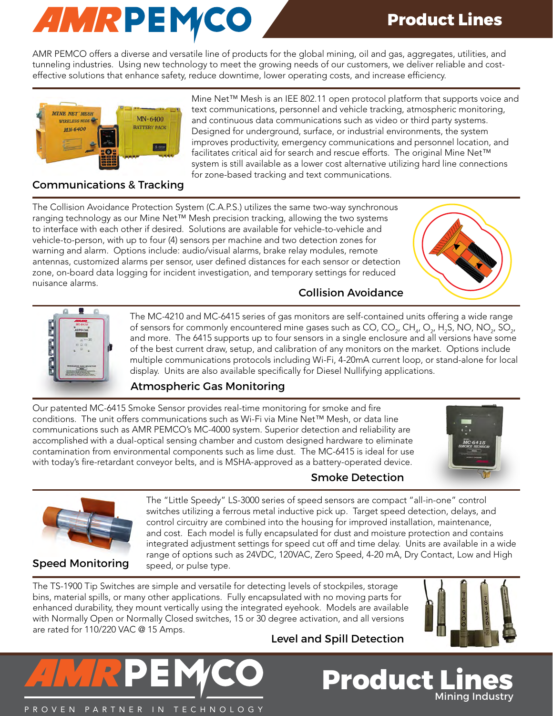

AMR PEMCO offers a diverse and versatile line of products for the global mining, oil and gas, aggregates, utilities, and tunneling industries. Using new technology to meet the growing needs of our customers, we deliver reliable and costeffective solutions that enhance safety, reduce downtime, lower operating costs, and increase efficiency.



Mine Net™ Mesh is an IEE 802.11 open protocol platform that supports voice and text communications, personnel and vehicle tracking, atmospheric monitoring, and continuous data communications such as video or third party systems. Designed for underground, surface, or industrial environments, the system improves productivity, emergency communications and personnel location, and facilitates critical aid for search and rescue efforts. The original Mine Net™ system is still available as a lower cost alternative utilizing hard line connections for zone-based tracking and text communications.

#### Communications & Tracking

The Collision Avoidance Protection System (C.A.P.S.) utilizes the same two-way synchronous ranging technology as our Mine Net™ Mesh precision tracking, allowing the two systems to interface with each other if desired. Solutions are available for vehicle-to-vehicle and vehicle-to-person, with up to four (4) sensors per machine and two detection zones for warning and alarm. Options include: audio/visual alarms, brake relay modules, remote antennas, customized alarms per sensor, user defined distances for each sensor or detection zone, on-board data logging for incident investigation, and temporary settings for reduced nuisance alarms.



# Ī Ē

The MC-4210 and MC-6415 series of gas monitors are self-contained units offering a wide range of sensors for commonly encountered mine gases such as CO, CO<sub>2</sub>, CH<sub>4</sub>, O<sub>2</sub>, H<sub>2</sub>S, NO, NO<sub>2</sub>, SO<sub>2</sub>, and more. The 6415 supports up to four sensors in a single enclosure and all versions have some of the best current draw, setup, and calibration of any monitors on the market. Options include multiple communications protocols including Wi-Fi, 4-20mA current loop, or stand-alone for local display. Units are also available specifically for Diesel Nullifying applications.

Collision Avoidance

### Atmospheric Gas Monitoring

Our patented MC-6415 Smoke Sensor provides real-time monitoring for smoke and fire conditions. The unit offers communications such as Wi-Fi via Mine Net™ Mesh, or data line communications such as AMR PEMCO's MC-4000 system. Superior detection and reliability are accomplished with a dual-optical sensing chamber and custom designed hardware to eliminate contamination from environmental components such as lime dust. The MC-6415 is ideal for use with today's fire-retardant conveyor belts, and is MSHA-approved as a battery-operated device.





Speed Monitoring

The "Little Speedy" LS-3000 series of speed sensors are compact "all-in-one" control switches utilizing a ferrous metal inductive pick up. Target speed detection, delays, and control circuitry are combined into the housing for improved installation, maintenance, and cost. Each model is fully encapsulated for dust and moisture protection and contains integrated adjustment settings for speed cut off and time delay. Units are available in a wide range of options such as 24VDC, 120VAC, Zero Speed, 4-20 mA, Dry Contact, Low and High speed, or pulse type.

Smoke Detection

The TS-1900 Tip Switches are simple and versatile for detecting levels of stockpiles, storage bins, material spills, or many other applications. Fully encapsulated with no moving parts for enhanced durability, they mount vertically using the integrated eyehook. Models are available with Normally Open or Normally Closed switches, 15 or 30 degree activation, and all versions are rated for 110/220 VAC @ 15 Amps.

Level and Spill Detection

**Product L** 



**Mining Industry**